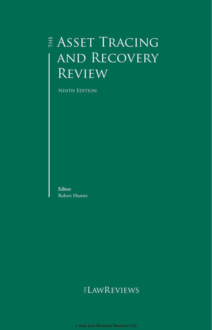# **E ASSET TRACING** and Recovery **REVIEW**

Ninth Edition

**Editor** Robert Hunter

## ELAWREVIEWS

© 2021 Law Business Research Ltd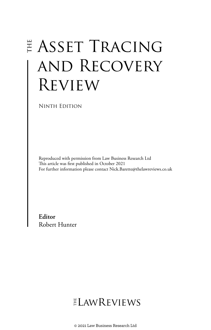# **E ASSET TRACING** and Recovery Review

Ninth Edition

Reproduced with permission from Law Business Research Ltd This article was first published in October 2021 For further information please contact Nick.Barette@thelawreviews.co.uk

**Editor** Robert Hunter

# $ELMR$  EVIEWS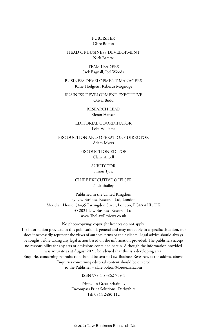#### PUBLISHER Clare Bolton

#### HEAD OF BUSINESS DEVELOPMENT Nick Barette

#### TEAM LEADERS Jack Bagnall, Joel Woods

#### BUSINESS DEVELOPMENT MANAGERS Katie Hodgetts, Rebecca Mogridge

BUSINESS DEVELOPMENT EXECUTIVE Olivia Budd

> RESEARCH LEAD Kieran Hansen

#### EDITORIAL COORDINATOR Leke Williams

PRODUCTION AND OPERATIONS DIRECTOR Adam Myers

> PRODUCTION EDITOR Claire Ancell

> > SUBEDITOR Simon Tyrie

CHIEF EXECUTIVE OFFICER Nick Brailey

Published in the United Kingdom by Law Business Research Ltd, London Meridian House, 34–35 Farringdon Street, London, EC4A 4HL, UK © 2021 Law Business Research Ltd www.TheLawReviews.co.uk

No photocopying: copyright licences do not apply. The information provided in this publication is general and may not apply in a specific situation, nor does it necessarily represent the views of authors' firms or their clients. Legal advice should always be sought before taking any legal action based on the information provided. The publishers accept no responsibility for any acts or omissions contained herein. Although the information provided was accurate as at August 2021, be advised that this is a developing area. Enquiries concerning reproduction should be sent to Law Business Research, at the address above. Enquiries concerning editorial content should be directed to the Publisher – clare.bolton@lbresearch.com

#### ISBN 978-1-83862-759-1

Printed in Great Britain by Encompass Print Solutions, Derbyshire Tel: 0844 2480 112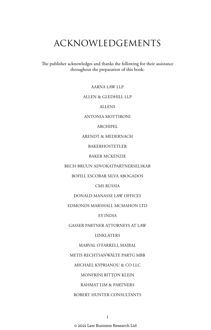# ACKNOWLEDGEMENTS

The publisher acknowledges and thanks the following for their assistance throughout the preparation of this book:

AARNA LAW LLP

ALLEN & GLEDHILL LLP

ALLENS

ANTONIA MOTTIRONI

ARCHIPEL

ARENDT & MEDERNACH

**BAKERHOSTETLER** 

BAKER MCKENZIE

BECH-BRUUN ADVOKATPARTNERSELSKAB

BOFILL ESCOBAR SILVA ABOGADOS

CMS RUSSIA

DONALD MANASSE LAW OFFICES

EDMONDS MARSHALL MCMAHON LTD

EY INDIA

GASSER PARTNER ATTORNEYS AT LAW

LINKLATERS

MARVAL O'FARRELL MAIRAL

METIS RECHTSANWÄLTE PARTG MBB

MICHAEL KYPRIANOU & CO LLC

MONFRINI BITTON KLEIN

RAHMAT LIM & PARTNERS

ROBERT HUNTER CONSULTANTS

© 2021 Law Business Research Ltd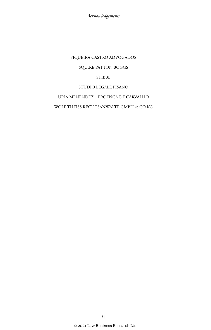SIQUEIRA CASTRO ADVOGADOS SQUIRE PATTON BOGGS STIBBE STUDIO LEGALE PISANO URÍA MENÉNDEZ – PROENÇA DE CARVALHO WOLF THEISS RECHTSANWÄLTE GMBH & CO KG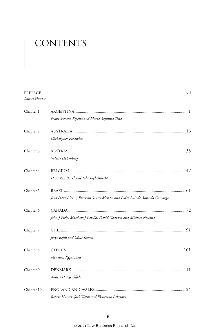# CONTENTS

| Robert Hunter<br>Chapter 1<br>Pedro Serrano Espelta and María Agustina Testa<br>Chapter 2<br>Christopher Prestwich<br>Chapter 3<br>Valerie Hohenberg<br>Chapter 4<br>Hans Van Bavel and Tobe Inghelbrecht<br>Chapter 5<br>João Daniel Rassi, Emerson Soares Mendes and Pedro Luís de Almeida Camargo<br>Chapter 6<br>John J Pirie, Matthew J Latella, David Gadsden and Michael Nowina<br>Chapter 7<br>Jorge Bofill and César Ramos<br>Chapter 8<br>Menelaos Kyprianou<br>Chapter 9<br>Anders Hauge Gløde |            |  |
|-----------------------------------------------------------------------------------------------------------------------------------------------------------------------------------------------------------------------------------------------------------------------------------------------------------------------------------------------------------------------------------------------------------------------------------------------------------------------------------------------------------|------------|--|
|                                                                                                                                                                                                                                                                                                                                                                                                                                                                                                           |            |  |
|                                                                                                                                                                                                                                                                                                                                                                                                                                                                                                           |            |  |
|                                                                                                                                                                                                                                                                                                                                                                                                                                                                                                           |            |  |
|                                                                                                                                                                                                                                                                                                                                                                                                                                                                                                           |            |  |
|                                                                                                                                                                                                                                                                                                                                                                                                                                                                                                           |            |  |
|                                                                                                                                                                                                                                                                                                                                                                                                                                                                                                           |            |  |
|                                                                                                                                                                                                                                                                                                                                                                                                                                                                                                           |            |  |
|                                                                                                                                                                                                                                                                                                                                                                                                                                                                                                           |            |  |
|                                                                                                                                                                                                                                                                                                                                                                                                                                                                                                           |            |  |
|                                                                                                                                                                                                                                                                                                                                                                                                                                                                                                           |            |  |
|                                                                                                                                                                                                                                                                                                                                                                                                                                                                                                           |            |  |
|                                                                                                                                                                                                                                                                                                                                                                                                                                                                                                           |            |  |
|                                                                                                                                                                                                                                                                                                                                                                                                                                                                                                           |            |  |
|                                                                                                                                                                                                                                                                                                                                                                                                                                                                                                           |            |  |
|                                                                                                                                                                                                                                                                                                                                                                                                                                                                                                           |            |  |
|                                                                                                                                                                                                                                                                                                                                                                                                                                                                                                           |            |  |
|                                                                                                                                                                                                                                                                                                                                                                                                                                                                                                           |            |  |
|                                                                                                                                                                                                                                                                                                                                                                                                                                                                                                           |            |  |
|                                                                                                                                                                                                                                                                                                                                                                                                                                                                                                           |            |  |
|                                                                                                                                                                                                                                                                                                                                                                                                                                                                                                           |            |  |
|                                                                                                                                                                                                                                                                                                                                                                                                                                                                                                           | Chapter 10 |  |
| Robert Hunter, Jack Walsh and Ekaterina Pakerova                                                                                                                                                                                                                                                                                                                                                                                                                                                          |            |  |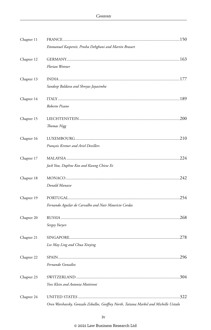| Chapter 11 |                                                                                        |  |
|------------|----------------------------------------------------------------------------------------|--|
|            | Emmanuel Kaspereit, Prosha Dehghani and Martin Brasart                                 |  |
| Chapter 12 |                                                                                        |  |
|            | Florian Wettner                                                                        |  |
| Chapter 13 |                                                                                        |  |
|            | Sandeep Baldava and Shreyas Jayasimha                                                  |  |
| Chapter 14 |                                                                                        |  |
|            | Roberto Pisano                                                                         |  |
| Chapter 15 |                                                                                        |  |
|            | Thomas Nigg                                                                            |  |
| Chapter 16 |                                                                                        |  |
|            | François Kremer and Ariel Devillers                                                    |  |
| Chapter 17 |                                                                                        |  |
|            | Jack Yow, Daphne Koo and Kwong Chiew Ee                                                |  |
| Chapter 18 |                                                                                        |  |
|            | Donald Manasse                                                                         |  |
| Chapter 19 |                                                                                        |  |
|            | Fernando Aguilar de Carvalho and Nair Maurício Cordas                                  |  |
| Chapter 20 |                                                                                        |  |
|            | Sergey Yuryev                                                                          |  |
| Chapter 21 |                                                                                        |  |
|            | Lee May Ling and Chua Xinying                                                          |  |
| Chapter 22 |                                                                                        |  |
|            | Fernando González                                                                      |  |
| Chapter 23 |                                                                                        |  |
|            | Yves Klein and Antonia Mottironi                                                       |  |
| Chapter 24 |                                                                                        |  |
|            | Oren Warshavsky, Gonzalo Zeballos, Geoffrey North, Tatiana Markel and Michelle Usitalo |  |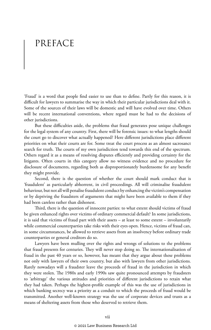# PREFACE

'Fraud' is a word that people find easier to use than to define. Partly for this reason, it is difficult for lawyers to summarise the way in which their particular jurisdictions deal with it. Some of the sources of their laws will be domestic and will have evolved over time. Others will be recent international conventions, where regard must be had to the decisions of other jurisdictions.

But these difficulties aside, the problems that fraud generates pose unique challenges for the legal system of any country. First, there will be forensic issues: to what lengths should the court go to discover what actually happened? Here different jurisdictions place different priorities on what their courts are for. Some treat the court process as an almost sacrosanct search for truth. The courts of my own jurisdiction tend towards this end of the spectrum. Others regard it as a means of resolving disputes efficiently and providing certainty for the litigants. Often courts in this category allow no witness evidence and no procedure for disclosure of documents, regarding both as disproportionately burdensome for any benefit they might provide.

Second, there is the question of whether the court should mark conduct that is 'fraudulent' as particularly abhorrent, in civil proceedings. All will criminalise fraudulent behaviour, but not all will penalise fraudulent conduct by enhancing the victim's compensation or by depriving the fraudsters of arguments that might have been available to them if they had been careless rather than dishonest.

Third, there is the question of innocent parties: to what extent should victims of fraud be given enhanced rights over victims of ordinary commercial default? In some jurisdictions, it is said that victims of fraud part with their assets – at least to some extent – involuntarily while commercial counterparties take risks with their eyes open. Hence, victims of fraud can, in some circumstances, be allowed to retrieve assets from an insolvency before ordinary trade counterparties or general creditors do so.

Lawyers have been mulling over the rights and wrongs of solutions to the problems that fraud presents for centuries. They will never stop doing so. The internationalisation of fraud in the past 40 years or so, however, has meant that they argue about these problems not only with lawyers of their own country, but also with lawyers from other jurisdictions. Rarely nowadays will a fraudster leave the proceeds of fraud in the jurisdiction in which they were stolen. The 1980s and early 1990s saw quite pronounced attempts by fraudsters to 'arbitrage' the various attitudes and priorities of different jurisdictions to retain what they had taken. Perhaps the highest-profile example of this was the use of jurisdictions in which banking secrecy was a priority as a conduit to which the proceeds of fraud would be transmitted. Another well-known strategy was the use of corporate devices and trusts as a means of sheltering assets from those who deserved to retrieve them.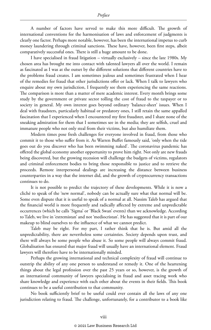A number of factors have served to make this more difficult. The growth of international conventions for the harmonisation of laws and enforcement of judgments is clearly one factor. Perhaps more notable, however, has been the international impetus to curb money laundering through criminal sanctions. These have, however, been first steps, albeit comparatively successful ones. There is still a huge amount to be done.

I have specialised in fraud litigation – virtually exclusively – since the late 1980s. My chosen area has brought me into contact with talented lawyers all over the world. I remain as fascinated as I was at the outset by the different solutions that different countries have to the problems fraud creates. I am sometimes jealous and sometimes frustrated when I hear of the remedies for fraud that other jurisdictions offer or lack. When I talk to lawyers who enquire about my own jurisdiction, I frequently see them experiencing the same reactions. The comparison is more than a matter of mere academic interest. Every month brings some study by the government or private sector tolling the cost of fraud to the taxpayer or to society in general. My own interest goes beyond ordinary 'balance-sheet' issues. When I deal with fraudsters, particularly habitual or predatory ones, I still retain the same appalled fascination that I experienced when I encountered my first fraudster, and I share none of the sneaking admiration for them that I sometimes see in the media; they are selfish, cruel and immature people who not only steal from their victims, but also humiliate them.

Modern times pose fresh challenges for everyone involved in fraud, from those who commit it to those who suffer from it. As Warren Buffet famously said, 'only when the tide goes out do you discover who has been swimming naked'. The coronavirus pandemic has offered the global economy another opportunity to prove him right. Not only are new frauds being discovered, but the growing recession will challenge the budgets of victims, regulators and criminal enforcement bodies to bring those responsible to justice and to retrieve the proceeds. Remote interpersonal dealings are increasing the distance between business counterparties in a way that the internet did, and the growth of cryptocurrency transactions continues to do.

It is not possible to predict the trajectory of these developments. While it is now a cliché to speak of the 'new normal', nobody can be actually sure what that normal will be. Some even dispute that it is useful to speak of a normal at all. Nassim Taleb has argued that the financial world is more frequently and radically affected by extreme and unpredictable occurrences (which he calls 'Sigma' or 'Black Swan' events) than we acknowledge. According to Taleb, we live in 'extremistan' and not 'mediocristan'. He has suggested that it is part of our makeup to blind ourselves to the influence of what we cannot predict.

Taleb may be right. For my part, I rather think that he is. But amid all the unpredictability, there are nevertheless some certainties. Society depends upon trust, and there will always be some people who abuse it. So some people will always commit fraud. Globalisation has ensured that major fraud will usually have an international element. Fraud lawyers will therefore have to be internationally minded.

Perhaps the growing international and technical complexity of fraud will continue to outstrip the ability of any one person to understand or remedy it. One of the heartening things about the legal profession over the past 25 years or so, however, is the growth of an international community of lawyers specialising in fraud and asset tracing work who share knowledge and experience with each other about the events in their fields. This book continues to be a useful contribution to that community.

No book sufficiently brief to be useful could ever contain all the laws of any one jurisdiction relating to fraud. The challenge, unfortunately, for a contributor to a book like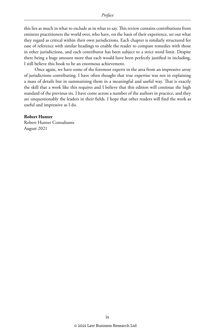this lies as much in what to exclude as in what to say. This review contains contributions from eminent practitioners the world over, who have, on the basis of their experience, set out what they regard as critical within their own jurisdictions. Each chapter is similarly structured for ease of reference with similar headings to enable the reader to compare remedies with those in other jurisdictions, and each contributor has been subject to a strict word limit. Despite there being a huge amount more that each would have been perfectly justified in including, I still believe this book to be an enormous achievement.

Once again, we have some of the foremost experts in the area from an impressive array of jurisdictions contributing. I have often thought that true expertise was not in explaining a mass of details but in summarising them in a meaningful and useful way. That is exactly the skill that a work like this requires and I believe that this edition will continue the high standard of the previous six. I have come across a number of the authors in practice, and they are unquestionably the leaders in their fields. I hope that other readers will find the work as useful and impressive as I do.

#### **Robert Hunter**

Robert Hunter Consultants August 2021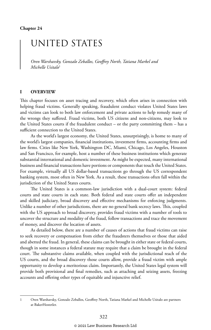## UNITED STATES

*Oren Warshavsky, Gonzalo Zeballos, Geoffrey North, Tatiana Markel and Michelle Usitalo*<sup>1</sup>

#### **I OVERVIEW**

This chapter focuses on asset tracing and recovery, which often arises in connection with helping fraud victims. Generally speaking, fraudulent conduct violates United States laws and victims can look to both law enforcement and private actions to help remedy many of the wrongs they suffered. Fraud victims, both US citizens and non-citizens, may look to the United States courts if the fraudulent conduct – or the party committing them – has a sufficient connection to the United States.

As the world's largest economy, the United States, unsurprisingly, is home to many of the world's largest companies, financial institutions, investment firms, accounting firms and law firms. Cities like New York, Washington DC, Miami, Chicago, Los Angeles, Houston and San Francisco, for example, host a number of these business institutions which generate substantial international and domestic investment. As might be expected, many international business and financial transactions have portions or components that touch the United States. For example, virtually all US dollar-based transactions go through the US correspondent banking system, most often in New York. As a result, these transactions often fall within the jurisdiction of the United States courts.

The United States is a common-law jurisdiction with a dual-court system: federal courts and state courts in each state. Both federal and state courts offer an independent and skilled judiciary, broad discovery and effective mechanisms for enforcing judgments. Unlike a number of other jurisdictions, there are no general bank secrecy laws. This, coupled with the US approach to broad discovery, provides fraud victims with a number of tools to uncover the structure and modality of the fraud, follow transactions and trace the movement of money, and discover the location of assets.

As detailed below, there are a number of causes of actions that fraud victims can raise to seek recovery or compensation from either the fraudsters themselves or those that aided and abetted the fraud. In general, these claims can be brought in either state or federal courts, though in some instances a federal statute may require that a claim be brought in the federal court. The substantive claims available, when coupled with the jurisdictional reach of the US courts, and the broad discovery those courts allow, provide a fraud victim with ample opportunity to develop a meritorious claim. Importantly, the United States legal system will provide both provisional and final remedies, such as attaching and seizing assets, freezing accounts and offering other types of equitable and injunctive relief.

<sup>1</sup> Oren Warshavsky, Gonzalo Zeballos, Geoffrey North, Tatiana Markel and Michelle Usitalo are partners at BakerHostetler.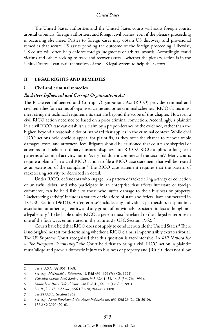The United States authorities and the United States courts will assist foreign courts, arbitral tribunals, foreign authorities, and foreign civil parties, even if the plenary proceeding is occurring elsewhere. Parties to foreign cases may obtain US discovery and provisional remedies that secure US assets pending the outcome of the foreign proceeding. Likewise, US courts will often help enforce foreign judgments or arbitral awards. Accordingly, fraud victims and others seeking to trace and recover assets – whether the plenary action is in the United States – can avail themselves of the US legal system to help their effort.

#### **II LEGAL RIGHTS AND REMEDIES**

#### **i Civil and criminal remedies**

#### *Racketeer Influenced and Corrupt Organizations Act*

The Racketeer Influenced and Corrupt Organizations Act (RICO) provides criminal and civil remedies for victims of organised crime and other criminal schemes.2 RICO claims must meet stringent technical requirements that are beyond the scope of this chapter. However, a civil RICO action need not be based on a prior criminal conviction. Accordingly, a plaintiff in a civil RICO case can establish a claim by a preponderance of the evidence, rather than the higher 'beyond a reasonable doubt' standard that applies in the criminal context. While civil RICO actions hold obvious appeal for plaintiffs, as they offer the chance to recover treble damages, costs, and attorneys' fees, litigants should be cautioned that courts are skeptical of attempts to shoehorn ordinary business disputes into RICO.<sup>3</sup> RICO applies to long-term patterns of criminal activity, not to 'every fraudulent commercial transaction'.<sup>4</sup> Many courts require a plaintiff in a civil RICO action to file a RICO case statement that will be treated as an extension of the complaint.<sup>5</sup> The RICO case statement requires that the pattern of racketeering activity be described in detail.

Under RICO, defendants who engage in a pattern of racketeering activity or collection of unlawful debts, and who participate in an enterprise that affects interstate or foreign commerce, can be held liable to those who suffer damage to their business or property. 'Racketeering activity' includes a variety of violations of state and federal laws enumerated in 18 USC Section 1961(1). An 'enterprise' includes any individual, partnership, corporation, association or other legal entity, and any group of individuals associated in fact although not a legal entity. $^6$  To be liable under RICO, a person must be related to the alleged enterprise in one of the four ways enumerated in the statute, 28 USC Section 1962. 7

Courts have held that RICO does not apply to conduct outside the United States.<sup>8</sup> There is no bright-line test for determining whether a RICO claim is impermissibly extraterritorial. The US Supreme Court recognised that this question is fact-intensive. In *RJR Nabisco Inc v. The European Community*, $^9$  the Court held that to bring a civil RICO action, a plaintiff must 'allege and prove a domestic injury to business or property and [RICO] does not allow

<sup>2</sup> See 8 U.S.C. §§1961–1968.

<sup>3</sup> See, e.g., *McDonald v. Schencker*, 18 F.3d 491, 499 (7th Cir. 1994).

<sup>4</sup> *Calcasieu Marine Nat'l Bank v. Grant*, 943 F.2d 1453, 1463 (5th Cir. 1991).

<sup>5</sup> *Miranda v. Ponce Federal Bank*, 948 F.2d 41, 44 n.3 (1st Cir. 1991).

<sup>6</sup> See *Boyle v. United States*, 556 US 938, 944–45 (2009).

<sup>7</sup> See 28 U.S.C. Section 1962.

<sup>8</sup> See, e.g., *Norex Petroleum Ltd v. Access Industries Inc*, 631 F.3d 29 (2d Cir 2010).

<sup>9</sup> 136 S Ct 2090 (2016).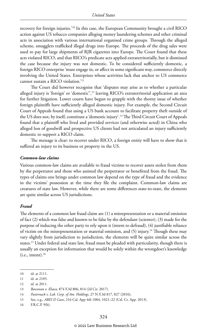recovery for foreign injuries.'10 In this case, the European Community brought a civil RICO action against US tobacco companies alleging money laundering schemes and other criminal acts in association with various international organised crime groups. Through the alleged scheme, smugglers trafficked illegal drugs into Europe. The proceeds of the drug sales were used to pay for large shipments of RJR cigarettes into Europe. The Court found that these acts violated RICO, and that RICO's predicate acts applied extraterritorially, but it dismissed the case because the injury was not domestic. To be considered sufficiently domestic, a foreign RICO enterprise 'must engage in, or affect in some significant way, commerce directly involving the United States. Enterprises whose activities lack that anchor to US commerce cannot sustain a RICO violation.'11

The Court did however recognise that 'disputes may arise as to whether a particular alleged injury is 'foreign' or 'domestic",<sup>12</sup> leaving RICO's extraterritorial application an area for further litigation. Lower courts have begun to grapple with the thorny issue of whether foreign plaintiffs have sufficiently alleged domestic injury. For example, the Second Circuit Court of Appeals found that using a US bank account to facilitate property theft outside of the US does not, by itself, constitute a 'domestic injury'.13 The Third Circuit Court of Appeals found that a plaintiff who lived and provided services (and otherwise acted) in China who alleged loss of goodwill and prospective US clients had not articulated an injury sufficiently domestic to support a RICO claim.

The message is clear: to recover under RICO, a foreign entity will have to show that it suffered an injury to its business or property in the US.

#### *Common-law claims*

Various common-law claims are available to fraud victims to recover assets stolen from them by the perpetrator and those who assisted the perpetrator or benefitted from the fraud. The types of claims one brings under common law depend on the type of fraud and the evidence in the victims' possession at the time they file the complaint. Common-law claims are creatures of state law. However, while there are some differences state-to-state, the elements are quite similar across US jurisdictions.

#### *Fraud*

The elements of a common law fraud claim are (1) a misrepresentation or a material omission of fact (2) which was false and known to be false by the defendant (scienter), (3) made for the purpose of inducing the other party to rely upon it (intent to defraud), (4) justifiable reliance of victim on the misrepresentation or material omission, and  $(5)$  injury.<sup>14</sup> Though these may vary slightly from jurisdiction to jurisdiction, the elements will be quite similar across the states.15 Under federal and state law, fraud must be pleaded with particularity, though there is usually an exception for information that would be solely within the wrongdoer's knowledge  $(i.e., intent).$ <sup>16</sup>

<sup>10</sup> id. at 2111.

<sup>11</sup> id. at 2105.

<sup>12</sup> id. at 2011.

<sup>13</sup> *Bascunan v. Elsaca*, 874 F.3d 806, 814 (2d Cir. 2017).

<sup>14</sup> *Pasternack v. Lab. Corp. of Am. Holdings*, 27 N.Y.3d 817, 827 (2016).

<sup>15</sup> See, e.g., *AREI II Cases*, 216 Cal. App 4th 1004, 1021–22 (Cal. Ct. App. 2013).

<sup>16</sup> F.R.C.P. 9(b).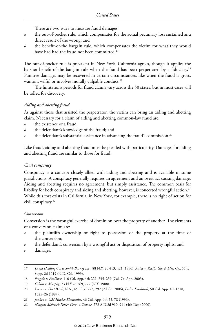There are two ways to measure fraud damages:

- *a* the out-of-pocket rule, which compensates for the actual pecuniary loss sustained as a direct result of the wrong; and
- *b* the benefit-of-the bargain rule, which compensates the victim for what they would have had had the fraud not been committed.<sup>17</sup>

The out-of-pocket rule is prevalent in New York. California agrees, though it applies the harsher benefit-of-the bargain rule when the fraud has been perpetrated by a fiduciary.<sup>18</sup> Punitive damages may be recovered in certain circumstances, like when the fraud is gross, wanton, wilful or involves morally culpable conduct.<sup>19</sup>

The limitations periods for fraud claims vary across the 50 states, but in most cases will be tolled for discovery.

#### *Aiding and abetting fraud*

As against those that assisted the perpetrator, the victim can bring an aiding and abetting claim. Necessary for a claim of aiding and abetting common-law fraud are:

- *a* the existence of a fraud;
- *b* the defendant's knowledge of the fraud; and
- $c$  the defendant's substantial assistance in advancing the fraud's commission.<sup>20</sup>

Like fraud, aiding and abetting fraud must be pleaded with particularity. Damages for aiding and abetting fraud are similar to those for fraud.

#### *Civil conspiracy*

Conspiracy is a concept closely allied with aiding and abetting and is available in some jurisdictions. A conspiracy generally requires an agreement and an overt act causing damage. Aiding and abetting requires no agreement, but simply assistance. The common basis for liability for both conspiracy and aiding and abetting, however, is concerted wrongful action.<sup>21</sup> While this tort exists in California, in New York, for example, there is no right of action for civil conspiracy.22

#### *Conversion*

Conversion is the wrongful exercise of dominion over the property of another. The elements of a conversion claim are:

- the plaintiff's ownership or right to possession of the property at the time of the conversion;
- *b* the defendant's conversion by a wrongful act or disposition of property rights; and
- *c* damages.

#### © 2021 Law Business Research Ltd

<sup>17</sup> *Lama Holding Co. v. Smith Barney Inc*., 88 N.Y. 2d 413, 421 (1996); *Auble v. Pacific Gas & Elec. Co*., 55 F. Supp. 2d 1019 (N.D. Cal. 1999).

<sup>18</sup> *Fragale v. Faulkner*, 110 Cal. App. 4th 229, 235–239 (Cal. Ct. App. 2003).

<sup>19</sup> *Giblin v. Murphy*, 73 N.Y.2d 769, 772 (N.Y. 1988).

<sup>20</sup> *Lerner v. Fleet Bank*, N.A., 459 F.3d 273, 292 (2d Cir. 2006); *Fiol v. Doellstedt*, 50 Cal. App. 4th 1318, 1325–26 (1997).

<sup>21</sup> *Janken v. GM Hughes Electronics*, 46 Cal. App. 4th 55, 78 (1996).

<sup>22</sup> *Niagara Mohawk Power Corp. v. Testone*, 272 A.D.2d 910, 911 (4th Dept 2000).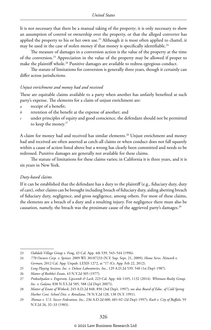It is not necessary that there be a manual taking of the property; it is only necessary to show an assumption of control or ownership over the property, or that the alleged converter has applied the property to his or her own use.<sup>23</sup> Although it is most often applied to chattel, it may be used in the case of stolen money if that money is specifically identifiable.<sup>24</sup>

The measure of damages in a conversion action is the value of the property at the time of the conversion.25 Appreciation in the value of the property may be allowed if proper to make the plaintiff whole.<sup>26</sup> Punitive damages are available to redress egregious conduct.

The statute of limitations for conversion is generally three years, though it certainly can differ across jurisdictions.

#### *Unjust enrichment and money had and received*

These are equitable claims available to a party when another has unfairly benefited at such party's expense. The elements for a claim of unjust enrichment are:

- *a* receipt of a benefit;
- *b* retention of the benefit at the expense of another; and
- *c* under principles of equity and good conscience, the defendant should not be permitted to keep the money.<sup>27</sup>

A claim for money had and received has similar elements.28 Unjust enrichment and money had and received are often asserted as catch-all claims or when conduct does not fall squarely within a cause of action listed above but a wrong has clearly been committed and needs to be redressed. Punitive damages are generally not available for these claims.

The statute of limitations for these claims varies; in California it is three years, and it is six years in New York.

#### *Duty-based claims*

If it can be established that the defendant has a duty to the plaintiff (e.g., fiduciary duty, duty of care), other claims can be brought including breach of fiduciary duty, aiding abetting breach of fiduciary duty, negligence, and gross negligence, among others. For most of these claims, the elements are a breach of a duty and a resulting injury. For negligence there must also be causation, namely, the breach was the proximate cause of the aggrieved party's damages.<sup>29</sup>

<sup>23</sup> *Oakdale Village Group v. Fon*g, 43 Cal. App. 4th 539, 543–544 (1996).

<sup>24</sup> *770 Owners Corp. v. Spitzer,* 2009 WL 30187233 (N.Y. Sup. Sept. 21, 2009); *Home Servs. Network v. German*, 2012 Cal. App. Unpub. LEXIS 1272, at \*17 (Ct. App. Feb 22, 2012).

<sup>25</sup> *Long Playing Sessions, Inc. v. Deluxe Laboratories, Inc*., 129 A.D.2d 539, 540 (1st Dep't 1987).

<sup>26</sup> *Matter of Rothko's Estate*, 43 N.Y.2d 305 (1977).

<sup>27</sup> *Prakashpalan v. Engstrom, Lipscomb & Lack*, 223 Cal. App. 4th 1105, 1132 (2014). *Whitman Realty Group, Inc. v. Galano*, 838 N.Y.S.2d 585, 588 (2d Dep't 2007)).

<sup>28</sup> *Matter of Estate of Witbeck*, 245 A.D.2d 848, 850 (3rd Dep't. 1997); see also *Board of Educ. of Cold Spring Harbor Cent. School Dist. v. Rettaliata*, 78 N.Y.2d 128, 138 (N.Y. 1991).

<sup>29</sup> *Thomas v. U.S. Soccer Federation, Inc.*, 236 A.D.2d 600, 601-02 (2d Dep't 1997); *Kush v. City of Buffalo*, 59 N.Y.2d 26, 32–33 (1983).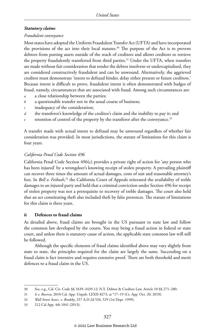#### *Statutory claims*

#### *Fraudulent conveyance*

Most states have adopted the Uniform Fraudulent Transfer Act (UFTA) and have incorporated the provisions of the act into their local statutes.<sup>30</sup> The purpose of the Act is to prevent debtors from putting assets outside of the reach of creditors and allows creditors to retrieve the property fraudulently transferred from third parties.<sup>31</sup> Under the UFTA, when transfers are made without fair consideration that render the debtor insolvent or undercapitalised, they are considered constructively fraudulent and can be unwound. Alternatively, the aggrieved creditor must demonstrate 'intent to defraud hinder, delay either present or future creditors.' Because intent is difficult to prove, fraudulent intent is often demonstrated with badges of fraud, namely, circumstances that are associated with fraud. Among such circumstances are:

- *a* a close relationship between the parties;
- *b* a questionable transfer not in the usual course of business;
- inadequacy of the consideration;
- *d* the transferor's knowledge of the creditor's claim and the inability to pay it; and
- retention of control of the property by the transferor after the conveyance.<sup>32</sup>

A transfer made with actual intent to defraud may be unwound regardless of whether fair consideration was provided. In most jurisdictions, the statute of limitations for this claim is four years.

#### *California Penal Code Section 496*

California Penal Code Section 496(c) provides a private right of action for 'any person who has been injured' by a wrongdoer's knowing receipt of stolen property. A prevailing plaintiff can recover three times the amount of actual damages, costs of suit and reasonable attorney's fees. In *Bell v. Feibush*, 33 the California Court of Appeals reiterated the availability of treble damages to an injured party and held that a criminal conviction under Section 496 for receipt of stolen property was not a prerequisite to recovery of treble damages. The court also held that an act constituting theft also included theft by false pretences. The statute of limitations for this claim is three years.

#### **ii Defences to fraud claims**

As detailed above, fraud claims are brought in the US pursuant to state law and follow the common law developed by the courts. You may bring a fraud action in federal or state court, and unless there is statutory cause of action, the applicable state common law will still be followed.

Although the specific elements of fraud claims identified above may vary slightly from state to state, the principles required for the claim are largely the same. Succeeding on a fraud claim is fact intensive and requires extensive proof. There are both threshold and merit defences to a fraud claim in the US.

<sup>30</sup> See, e.g., Cal. Civ. Code §§ 3439–3439.12; N.Y. Debtor & Creditor Law, Article 10 §§ 271–280.

<sup>31</sup> *Is v. Reserva*, 2010 Cal. App. Unpub. LEXIS 8273, at \*17–19 (Ct. App. Oct. 20, 2010).

<sup>32</sup> *Wall Street Assocs. v. Brodsky*, 257 A.D.2d 526, 529 (1st Dept. 1999).

<sup>33</sup> 212 Cal App. 4th 1041 (2013).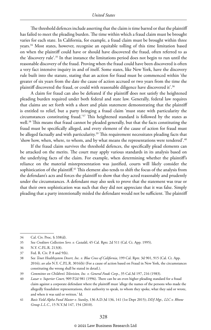The threshold defences include asserting that the claim is time barred or that the plaintiff has failed to meet the pleading burden. The time within which a fraud claim must be brought varies for each state. In California, for example, a fraud claim must be brought within three years.34 Most states, however, recognise an equitable tolling of this time limitation based on when the plaintiff could have or should have discovered the fraud, often referred to as the 'discovery rule'.35 In that instance the limitations period does not begin to run until the reasonable discovery of the fraud. Proving when the fraud could have been discovered is often a very fact intensive inquiry in and of itself. Some states, like New York, have the discovery rule built into the statute, stating that an action for fraud must be commenced within 'the greater of six years from the date the cause of action accrued or two years from the time the plaintiff discovered the fraud, or could with reasonable diligence have discovered it'.<sup>36</sup>

A claim for fraud can also be defeated if the plaintiff does not satisfy the heightened pleading burden required under both federal and state law. Generally, federal law requires that claims are set forth with a short and plain statement demonstrating that the plaintiff is entitled to relief, but a party bringing a fraud claim 'must state with particularity the circumstances constituting fraud.'37 This heightened standard is followed by the states as well.<sup>38</sup> This means that fraud cannot be pleaded generally, but that the facts constituting the fraud must be specifically alleged, and every element of the cause of action for fraud must be alleged factually and with particularity.<sup>39</sup> This requirement necessitates pleading facts that 'show how, when, where, to whom, and by what means the representations were tendered'.<sup>40</sup>

If the fraud claim survives the threshold defences, the specifically plead elements can be attacked on the merits. The court may apply various standards in its analysis based on the underlying facts of the claim. For example, when determining whether the plaintiff's reliance on the material misrepresentation was justified, courts will likely consider the sophistication of the plaintiff.<sup>41</sup> This element also tends to shift the focus of the analysis from the defendant's acts and forces the plaintiff to show that they acted reasonably and prudently under the circumstances. A defendant may also seek to prove that the statement was true or that their own sophistication was such that they did not appreciate that it was false. Simply pleading that a party intentionally misled the defendant would not be sufficient. The plaintiff

<sup>34</sup> Cal. Civ. Proc. § 338(d).

<sup>35</sup> See *Creditors Collection Serv. v. Castaldi*, 45 Cal. Rptr. 2d 511 (Cal. Ct. App. 1995).

<sup>36</sup> N.Y. C.P.L.R. 213(8).

<sup>37</sup> Fed. R. Civ. P. 8 and 9(b).

<sup>38</sup> See *Tenet Healthsystem Desert, Inc. v. Blue Cross of California*, 199 Cal. Rptr. 3d 901, 915 (Cal. Ct. App. 2016); *see also* N.Y. C.P.L.R. 3016(b) (For a cause of action based on Fraud in New York, the circumstances constituting the wrong shall be stated in detail.).

<sup>39</sup> *Committee on Children's Television, Inc. v. General Foods Corp*., 35 Cal.3d 197, 216 (1983).

<sup>40</sup> *Lazar v. Superior Court,* 909 P.2d 981 (1996). There can be an even higher pleading standard for a fraud claim against a corporate defendant where the plaintiff must 'allege the names of the persons who made the allegedly fraudulent representations, their authority to speak, to whom they spoke, what they said or wrote, and when it was said or written.' Id.

<sup>41</sup> *Basis Yield Alpha Fund Master v. Stanley*, 136 A.D.3d 136, 141 (1st Dept 2015); *DDJ Mgt., LLC v. Rhone Group L.L.C.*, 15 N.Y.3d 147, 154 (2010).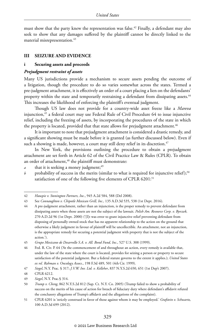must show that the party knew the representation was false.<sup>42</sup> Finally, a defendant may also seek to show that any damages suffered by the plaintiff cannot be directly linked to the material misrepresentation.<sup>43</sup>

#### **III SEIZURE AND EVIDENCE**

#### **i Securing assets and proceeds**

#### *Prejudgment restraint of assets*

Many US jurisdictions provide a mechanism to secure assets pending the outcome of a litigation, though the procedure to do so varies somewhat across the states. Termed a pre-judgment attachment, it is effectively an order of a court placing a lien on the defendants' property within the state and temporarily restraining a defendant from dissipating assets.<sup>44</sup> This increases the likelihood of enforcing the plaintiff's eventual judgment.

Though US law does not provide for a country-wide asset freeze like a *Mareva* injunction,45 a federal court may use Federal Rule of Civil Procedure 64 to issue injunctive relief, including the freezing of assets, by incorporating the procedures of the state in which the property is located, provided that that state allows for prejudgment attachment.<sup>46</sup>

It is important to note that prejudgment attachment is considered a drastic remedy, and a significant showing must be made before it is granted (as further discussed below). Even if such a showing is made, however, a court may still deny relief in its discretion.<sup>47</sup>

In New York, the provisions outlining the procedure to obtain a prejudgment attachment are set forth in Article 62 of the Civil Practice Law & Rules (CPLR). To obtain an order of attachment,<sup>48</sup> the plaintiff must demonstrate:

- $a$  that it is seeking a money judgment;<sup>49</sup>
- *b* probability of success in the merits (similar to what is required for injunctive relief);<sup>50</sup> satisfaction of one of the following five elements of CPLR 6201:<sup>51</sup>

#### © 2021 Law Business Research Ltd

<sup>42</sup> *Hauspie v. Stonington Partners, Inc*., 945 A.2d 584, 588 (Del 2008).

<sup>43</sup> See *Connaughton v. Chipotle Mexican Grill, Inc.,* 135 A.D.3d 535, 538 (1st Dept. 2016).

<sup>44</sup> A pre-judgment attachment, rather than an injunction, is the proper remedy to prevent defendant from dissipating assets when those assets are not the subject of the lawsuit. *Polish Am. Resource Corp. v. Byrczek,* 270 A.D.2d 96 (1st Dept. 2000) ('[I]t was error to grant injunctive relief preventing defendant from disposing of personally owned stock that has no apparent relationship to the action on the ground that otherwise a likely judgment in favour of plaintiff will be uncollectible. An attachment, not an injunction, is the appropriate remedy for securing a potential judgment with property that is not the subject of the action.').

<sup>45</sup> *Grupo Mexicano de Desarrollo S.A. v. All. Bond Fund, Inc*., 527 U.S. 308 (1999).

<sup>46</sup> Fed. R. Civ. P. 64 ('At the commencement of and throughout an action, every remedy is available that, under the law of the state where the court is located, provides for seizing a person or property to secure satisfaction of the potential judgment. But a federal statute governs to the extent it applies.); *United States ex rel. Rahman v. Oncology Assocs*., 198 F.3d 489, 501 (4th Cir. 1999).

<sup>47</sup> *Siegel*, N.Y. Prac. § 317; *J.V.W. Inv. Ltd. v. Kelleher*, 837 N.Y.S.2d 650, 651 (1st Dep't 2007).

<sup>48</sup> CPLR 6212.

<sup>49</sup> *Siegel*, N.Y. Prac.§ 314.

<sup>50</sup> *Trump v. Cheng*, 862 N.Y.S.2d 812 (Sup. Ct. N.Y. Co. 2005) (Trump failed to show a probability of success on the merits of his cause of action for breach of fiduciary duty where defendant's affidavit refuted the conclusory allegations of Trump's affidavit and the allegations of the complaint).

<sup>51</sup> CPLR 6201 is 'strictly construed in favor of those against whom it may be employed.' *Grafstein v. Schwartz,* 100 A.D.3d 699 (2012).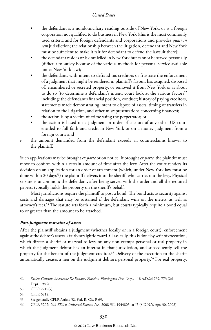- the defendant is a nondomiciliary residing outside of New York, or is a foreign corporation not qualified to do business in New York (this is the most commonly used criteria and for foreign defendants and corporations and provides *quasi in rem* jurisdiction; the relationship between the litigation, defendant and New York must be sufficient to make it fair for defendant to defend the lawsuit there);
- the defendant resides or is domiciled in New York but cannot be served personally (difficult to satisfy because of the various methods for personal service available under New York law);
- the defendant, with intent to defraud his creditors or frustrate the enforcement of a judgment that might be rendered in plaintiff's favour, has assigned, disposed of, encumbered or secreted property, or removed it from New York or is about to do so (to determine a defendant's intent, court look at the various factors<sup>52</sup> including: the defendant's financial position, conduct; history of paying creditors, statements made demonstrating intent to dispose of assets, timing of transfers in relation to the litigation, and other misrepresentations concerning finances);
- the action is by a victim of crime suing the perpetrator; or
- the action is based on a judgment or order of a court of any other US court entitled to full faith and credit in New York or on a money judgment from a foreign court; and
- *c* the amount demanded from the defendant exceeds all counterclaims known to the plaintiff.

Such applications may be brought *ex parte* or on notice. If brought *ex parte*, the plaintiff must move to confirm within a certain amount of time after the levy. After the court renders its decision on an application for an order of attachment (which, under New York law must be done within 20 days<sup>53</sup>) the plaintiff delivers it to the sheriff, who carries out the levy. Physical seizure is uncommon; the defendant, after being served with the order and all the required papers, typically holds the property on the sheriff's behalf.

Most jurisdictions require the plaintiff to post a bond. The bond acts as security against costs and damages that may be sustained if the defendant wins on the merits, as well as attorney's fees.<sup>54</sup> The statute sets forth a minimum, but courts typically require a bond equal to or greater than the amount to be attached.

#### *Post-judgment restraint of assets*

After the plaintiff obtains a judgment (whether locally or in a foreign court), enforcement against the debtor's assets is fairly straightforward. Classically, this is done by writ of execution, which directs a sheriff or marshal to levy on any non-exempt personal or real property in which the judgment debtor has an interest in that jurisdiction, and subsequently sell the property for the benefit of the judgment creditor.55 Delivery of the execution to the sheriff automatically creates a lien on the judgment debtor's personal property,<sup>56</sup> For real property,

<sup>52</sup> *Societe Generale Alsacienne De Banque, Zurich v. Flemingdon Dev. Corp*., 118 A.D.2d 769, 773 (2d Dept. 1986).

<sup>53</sup> CPLR 2219(a).

<sup>54</sup> CPLR 6212.

<sup>55</sup> See generally CPLR Article 52, Fed. R. Civ. P. 69.

<sup>56</sup> CPLR 5202; *U.S. SEC v. Universal Express, Inc.*, 2008 WL 1944803, at \*5 (S.D.N.Y. Apr. 30, 2008).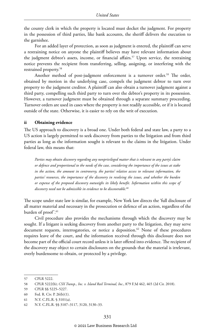the county clerk in which the property is located must docket the judgment. For property in the possession of third parties, like bank accounts, the sheriff delivers the execution to the garnishee.

For an added layer of protection, as soon as judgment is entered, the plaintiff can serve a restraining notice on anyone the plaintiff believes may have relevant information about the judgment debtor's assets, income, or financial affairs.<sup>57</sup> Upon service, the restraining notice prevents the recipient from transferring, selling, assigning, or interfering with the restrained property.58

Another method of post-judgment enforcement is a turnover order.<sup>59</sup> The order, obtained by motion in the underlying case, compels the judgment debtor to turn over property to the judgment creditor. A plaintiff can also obtain a turnover judgment against a third party, compelling such third party to turn over the debtor's property in its possession. However, a turnover judgment must be obtained through a separate summary proceeding. Turnover orders are used in cases where the property is not readily accessible, or if it is located outside of the state. Otherwise, it is easier to rely on the writ of execution.

#### **ii Obtaining evidence**

The US approach to discovery is a broad one. Under both federal and state law, a party to a US action is largely permitted to seek discovery from parties to the litigation and from third parties as long as the information sought is relevant to the claims in the litigation. Under federal law, this means that:

*Parties may obtain discovery regarding any nonprivileged matter that is relevant to any party's claim or defence and proportional to the needs of the case, considering the importance of the issues at stake in the action, the amount in controversy, the parties' relative access to relevant information, the*  parties' resources, the importance of the discovery in resolving the issues, and whether the burden *or expense of the proposed discovery outweighs its likely benefit. Information within this scope of discovery need not be admissible in evidence to be discoverable.*<sup>60</sup>

The scope under state law is similar, for example, New York law directs the 'full disclosure of all matter material and necessary in the prosecution or defence of an action, regardless of the burden of proof'.<sup>61</sup>

Civil procedure also provides the mechanisms through which the discovery may be sought. If a litigant is seeking discovery from another party to the litigation, they may serve document requests, interrogatories, or notice a deposition.<sup>62</sup> None of these procedures requires leave of the court, and the information received through this disclosure does not become part of the official court record unless it is later offered into evidence. The recipient of the discovery may object to certain disclosures on the grounds that the material is irrelevant, overly burdensome to obtain, or protected by a privilege.

<sup>57</sup> CPLR 5222.

<sup>58</sup> CPLR 5222(b); *CSX Transp., Inc. v. Island Rail Terminal, Inc*., 879 F.3d 462, 465 (2d Cir. 2018).

<sup>59</sup> CPLR §§ 5225–5227.

<sup>60</sup> Fed. R. Civ. P. 26(b)(1).

<sup>61</sup> N.Y. C.P.L.R. § 3101(a).

<sup>62</sup> N.Y. C.P.L.R. §§ 3107–3117, 3120, 3130–33.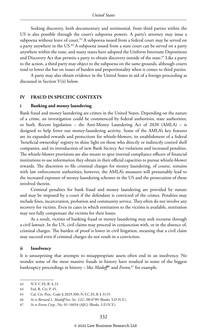Seeking discovery, both documentary and testimonial, from third parties within the US is also possible through the court's subpoena powers. A party's attorney may issue a subpoena without leave of court.<sup>63</sup> A subpoena issued from a federal court may be served on a party anywhere in the US.<sup>64</sup> A subpoena issued from a state court can be served on a party anywhere within the state, and many states have adopted the Uniform Interstate Depositions and Discovery Act that permits a party to obtain discovery outside of the state.<sup>65</sup> Like a party to the action, a third party may object to the subpoena on the same grounds, although courts tend to lower the bar on issues of burden and proportionality when it comes to third parties.

A party may also obtain evidence in the United States in aid of a foreign proceeding as discussed in Section V(ii) below.

#### **IV FRAUD IN SPECIFIC CONTEXTS**

#### **i Banking and money laundering**

Bank fraud and money laundering are crimes in the United States. Depending on the nature of a crime, an investigation could be commenced by federal authorities, state authorities, or both. Recent legislation – the Anti-Money Laundering Act of 2020 (AMLA) – is designed to help ferret out money-laundering activity. Some of the AMLA's key features are its expanded rewards and protections for whistle-blowers, its establishment of a federal 'beneficial ownership' registry to shine light on those who directly or indirectly control shell companies, and its introduction of new Bank Secrecy Act violations and increased penalties. The whistle-blower provisions are also meant to spur internal compliance officers of financial institutions to use information they obtain in their official capacities to pursue whistle-blower rewards. The discretion to file criminal charges for money laundering, of course, remains with law enforcement authorities; however, the AMLA's measures will presumably lead to the increased exposure of money laundering schemes in the US and the prosecution of those involved therein.

Criminal penalties for bank fraud and money laundering are provided by statute and may be imposed by a court if the defendant is convicted of the crimes. Penalties may include fines, incarceration, probation and community service. They often do not involve any recovery for victims. Even in cases in which restitution to the victims is available, restitution may not fully compensate the victims for their losses.

As a result, victims of banking fraud or money laundering may seek recourse through a civil lawsuit. In the US, civil claims may proceed in conjunction with, or in the absence of, criminal charges. The burden of proof is lower in civil litigation, meaning that a civil claim may succeed even if criminal charges do not result in a conviction.

#### **ii Insolvency**

It is unsurprising that attempts to misappropriate assets often end in an insolvency. No wonder some of the most massive frauds in history have resulted in some of the biggest bankruptcy proceedings in history – like *Madoff*66 and *Enron*, 67 for example.

<sup>63</sup> N.Y. C.P.L.R. § 23.

<sup>64</sup> Fed. R. Civ. P. 45.

<sup>65</sup> Cal. Civ. Proc. Code § 2029.300; N.Y.C.P.L.R § 3119.

<sup>66</sup> *In re Bernard L. Madoff Inv. Sec. LLC*, 08-0789 (Bankr. S.D.N.Y.).

<sup>67</sup> *In re Enron Corp.*, No. 01-16034 (AJG) (Bankr. S.D.N.Y.).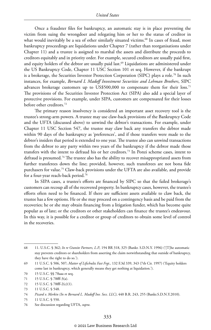Once a fraudster files for bankruptcy, an automatic stay is in place preventing the victim from suing the wrongdoer and relegating him or her to the status of creditor in what would inevitably be a sea of other similarly situated victims.<sup>68</sup> In cases of fraud, most bankruptcy proceedings are liquidations under Chapter 7 (rather than reorganisations under Chapter 11) and a trustee is assigned to marshal the assets and distribute the proceeds to creditors equitably and in priority order. For example, secured creditors are usually paid first, and equity holders of the debtor are usually paid last.<sup>69</sup> Liquidations are administered under the US Bankruptcy Code, Chapter 11 USC Section 101 et seq. However, if the bankrupt is a brokerage, the Securities Investor Protection Corporation (SIPC) plays a role.<sup>70</sup> In such instances, for example, *Bernard L Madoff Investment Securities and Lehman Brothers*, SIPC advances brokerage customers up to US\$500,000 to compensate them for their loss.<sup>71</sup> The provisions of the Securities Investor Protection Act (SIPA) also add a special layer of protective provisions. For example, under SIPA, customers are compensated for their losses before other creditors.72

The primary reason insolvency is considered an important asset recovery tool is the trustee's strong-arm powers. A trustee may use claw-back provisions of the Bankruptcy Code and the UFTA (discussed above) to unwind the debtor's transactions. For example, under Chapter 11 USC Section 547, the trustee may claw back any transfers the debtor made within 90 days of the bankruptcy as 'preferences', and if those transfers were made to the debtor's insiders that period is extended to one year. The trustee also can unwind transactions from the debtor to any party within two years of the bankruptcy if the debtor made those transfers with the intent to defraud his or her creditors.73 In Ponzi scheme cases, intent to defraud is presumed.74 The trustee also has the ability to recover misappropriated assets from further transferees down the line; provided, however, such transferees are not bona fide purchasers for value.75 Claw-back provisions under the UFTA are also available, and provide for a four-year reach-back period.76

In SIPA cases, a trustee's efforts are financed by SIPC so that the failed brokerage's customers can recoup all of the recovered property. In bankruptcy cases, however, the trustee's efforts often need to be financed. If there are sufficient assets available to claw back, the trustee has a few options. He or she may proceed on a contingency basis and be paid from the recoveries; he or she may obtain financing from a litigation funder, which has become quite popular as of late; or the creditors or other stakeholders can finance the trustee's endeavour. In this way, it is possible for a creditor or group of creditors to obtain some level of control in the recoveries.

76 See discussion regarding UFTA, *supra*.

<sup>68</sup> 11. U.S.C. § 362; *In re Granite Partners, L.P.,* 194 BR 318, 325 (Bankr. S.D.N.Y. 1996) ('[T]he automatic stay prevents creditors or shareholders from asserting the claim notwithstanding that outside of bankruptcy, they have the right to do so.').

<sup>69</sup> 11 U.S.C. § 506, 507; *Matter of Lifschultz Fast Frgt.,* 132 F.3d 339, 343 (7th Cir. 1997) ('Equity holders come last in bankruptcy, which generally means they get nothing at liquidation.').

<sup>70</sup> 15 U.S.C. §§ 78aaa et seq.

<sup>71 15</sup> U.S.C. § 78fff-3(a).

<sup>72 15</sup> U.S.C. § 78fff-2(c)(1).

<sup>73</sup> 11 U.S.C. § 548.

<sup>74</sup> *Picard v. Merkin (In re Bernard L. Madoff Inv. Secs. LLC)*, 440 B.R. 243, 255 (Bankr.S.D.N.Y.2010).

<sup>75</sup> 11 U.S.C. § 550.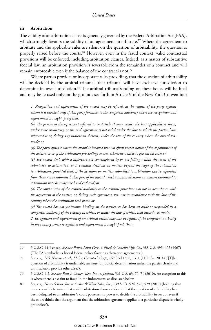#### **iii Arbitration**

The validity of an arbitration clause is generally governed by the Federal Arbitration Act (FAA), which strongly favours the validity of an agreement to arbitrate.<sup>77</sup> Where the agreement to arbitrate and the applicable rules are silent on the question of arbitrability, the question is properly raised before the courts.78 However, even in the fraud context, valid contractual provisions will be enforced, including arbitration clauses. Indeed, as a matter of substantive federal law, an arbitration provision is severable from the remainder of a contract and will remain enforceable even if the balance of the contract is not.79

Where parties provide, or incorporate rules providing, that the question of arbitrability will be decided by the arbitral tribunal, that tribunal will have exclusive jurisdiction to determine its own jurisdiction.<sup>80</sup> The arbitral tribunal's ruling on these issues will be final and may be refused only on the grounds set forth in Article V of the New York Convention:

*1. Recognition and enforcement of the award may be refused, at the request of the party against whom it is invoked, only if that party furnishes to the competent authority where the recognition and enforcement is sought, proof that:*

*(a) The parties to the agreement referred to in Article II were, under the law applicable to them, under some incapacity, or the said agreement is not valid under the law to which the parties have subjected it or, failing any indication thereon, under the law of the country where the award was made; or*

*(b) The party against whom the award is invoked was not given proper notice of the appointment of the arbitrator or of the arbitration proceedings or was otherwise unable to present his case; or*

*(c) The award deals with a difference not contemplated by or not falling within the terms of the submission to arbitration, or it contains decisions on matters beyond the scope of the submission to arbitration, provided that, if the decisions on matters submitted to arbitration can be separated from those not so submitted, that part of the award which contains decisions on matters submitted to arbitration may be recognized and enforced; or*

*(d) The composition of the arbitral authority or the arbitral procedure was not in accordance with the agreement of the parties, or, failing such agreement, was not in accordance with the law of the country where the arbitration took place; or*

*(e) The award has not yet become binding on the parties, or has been set aside or suspended by a competent authority of the country in which, or under the law of which, that award was made.*

*2. Recognition and enforcement of an arbitral award may also be refused if the competent authority in the country where recognition and enforcement is sought finds that:*

<sup>77</sup> 9 U.S.C. §§ 1 et seq. *See also Prima Paint Corp. v. Flood & Conklin Mfg. Co*., 388 U.S. 395, 402 (1967) ('The FAA embodies a liberal federal policy favoring arbitration agreements.').

<sup>78</sup> See, e.g., *U.S. Nutraceuticals, LLC v. Cyanotech Corp*., 769 F.3d 1308, 1311 (11th Cir. 2014) ('[T]he question of arbitrability is undeniably an issue for judicial determination unless the parties clearly and unmistakably provide otherwise.').

<sup>79</sup> 9 U.S.C. § 2. *See also Rent-A-Center, West, Inc., v. Jackson*, 561 U.S. 63, 70–71 (2010). An exception to this is where there is a claim to fraud in the inducement, as discussed below.

<sup>80</sup> See, e.g., *Henry Schein, Inc. v. Archer & White Sales, Inc*., 139 S. Ct. 524, 526, 529 (2019) (holding that once a court determines that a valid arbitration clause exists and that the question of arbitrability has been delegated to an arbitrator 'a court possesses no power to decide the arbitrability issues . . . even if the court thinks that the argument that the arbitration agreement applies to a particular dispute is wholly groundless').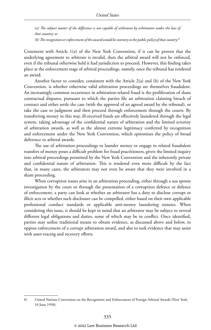*(a) The subject matter of the difference is not capable of settlement by arbitration under the law of that country; or*

*(b) The recognition or enforcement of the award would be contrary to the public policy of that country.*<sup>81</sup>

Consistent with Article 1(a) of the New York Convention, if it can be proven that the underlying agreement to arbitrate is invalid, then the arbitral award will not be enforced, even if the tribunal otherwise held it had jurisdiction to proceed. However, this finding takes place at the enforcement stage of arbitral proceedings, namely, once the tribunal has rendered an award.

Another factor to consider, consistent with the Article 2(a) and (b) of the New York Convention, is whether otherwise valid arbitration proceedings are themselves fraudulent. An increasingly common occurrence in arbitration-related fraud is the proliferation of sham contractual disputes, pursuant to which the parties file an arbitration claiming breach of contract and either settle the case (with the approval of an agreed award by the tribunal), or take the case to judgment and then proceed through enforcement through the courts. By transferring money in this way, ill-received funds are effectively laundered through the legal system, taking advantage of the confidential nature of arbitration and the limited scrutiny of arbitration awards, as well as the almost extreme legitimacy conferred by recognition and enforcement under the New York Convention, which epitomises the policy of broad deference to arbitral awards.

The use of arbitration proceedings to launder money or engage in related fraudulent transfers of money poses a difficult problem for fraud practitioners, given the limited inquiry into arbitral proceedings permitted by the New York Convention and the inherently private and confidential nature of arbitration. This is rendered even more difficult by the fact that, in many cases, the arbitrators may not even be aware that they were involved in a sham proceeding.

When corruption issues arise in an arbitration proceeding, either through a sua sponte investigation by the court or through the presentation of a corruption defence or defence of enforcement, a party can look at whether an arbitrator has a duty to disclose corrupt or illicit acts or whether such disclosure can be compelled, either based on their own applicable professional conduct standards or applicable anti-money laundering statutes. When considering this issue, it should be kept in mind that an arbitrator may be subject to several different legal obligations and duties, some of which may be in conflict. Once identified, parties may utilise traditional means to obtain evidence, as discussed above and below, to oppose enforcement of a corrupt arbitration award, and also to seek evidence that may assist with asset-tracing and recovery efforts.

<sup>81</sup> United Nations Convention on the Recognition and Enforcement of Foreign Arbitral Awards (New York, 10 June 1958).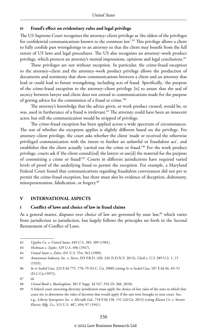#### **iv Fraud's effect on evidentiary rules and legal privilege**

The US Supreme Court recognises the attorney–client privilege as 'the oldest of the privileges for confidential communications known to the common law'.82 This privilege allows a client to fully confide past wrongdoings to an attorney so that the client may benefit from the full extent of US laws and legal procedures. The US also recognises an attorney–work product privilege, which protects an attorney's mental impressions, opinions and legal conclusions.<sup>83</sup>

These privileges are not without exception. In particular, the crime-fraud exception to the attorney–client and the attorney–work product privilege allows the production of documents and testimony that show communications between a client and an attorney that lead or could lead to future wrongdoing, including acts of fraud. Specifically, 'the purpose of the crime-fraud exception to the attorney–client privilege [is] to assure that the seal of secrecy between lawyer and client does not extend to communications made for the purpose of getting advice for the commission of a fraud or crime.'84

The attorney's knowledge that the advice given, or work product created, would be, or was, used in furtherance of a fraud is irrelevant.<sup>85</sup> The attorney could have been an innocent actor, but still the communication would be stripped of privilege.

The crime-fraud exception has been applied across a wide spectrum of circumstances. The test of whether the exception applies is slightly different based on the privilege. For attorney–client privilege, the court asks whether the client 'made or received the otherwise privileged communication with the intent to further an unlawful or fraudulent act', and establishes that the client actually 'carried out the crime or fraud.'86 For the work product privilege, courts ask if 'the client consult[ed] the lawyer or use[d] the material for the purpose of committing a crime or fraud?'87 Courts in different jurisdictions have required varied levels of proof of the underlying fraud to permit the exception. For example, a Maryland Federal Court found that communications regarding fraudulent conveyances did not per se permit the crime-fraud exception, but there must also be evidence of deception, dishonesty, misrepresentation, falsification, or forgery.88

#### **V INTERNATIONAL ASPECTS**

#### **i Conflict of laws and choice of law in fraud claims**

As a general matter, disputes over choice of law are governed by state law,<sup>89</sup> which varies from jurisdiction to jurisdiction, but largely follows the principles set forth in the Second Restatement of Conflict of Laws.

<sup>82</sup> *Upjohn Co. v. United States*, 449 U.S. 383, 389 (1981).

<sup>83</sup> *Hickman v. Taylor*, 329 U.S. 496 (1947).

<sup>84</sup> *United States v. Zolin*, 491 U.S. 554, 563 (1989).

<sup>85</sup> *Amusement Industry, Inc. v. Stern*, 293 F.R.D. 420, 236 (S.D.N.Y. 2013); *Clark v. U.S.* 289 U.S. 1, 15 (1933).

<sup>86</sup> *In re Sealed Case*, 223 F.3d 775, 778–79 (D.C. Cir. 2000) (citing *In re Sealed Case*, 107 F.3d 46, 49–51 (D.C.Cir.1997)).

<sup>87</sup> id.

<sup>88</sup> *United Bank v. Buckingham*, 301 F Supp. 3d 547, 554 (D. Md. 2018).

<sup>89</sup> A federal court exercising diversity jurisdiction must apply the choice-of-law rules of the state in which that court sits to determine the rules of decision that would apply if the suit were brought in state court. See, e.g., *Liberty Synergistics Inc. v. Microflo Ltd*., 718 F.3d 138, 151 (2d Cir. 2013) (citing *Klaxon Co. v. Stentor Electric Mfg. Co.*, 313 U.S. 487, 494–97 (1941).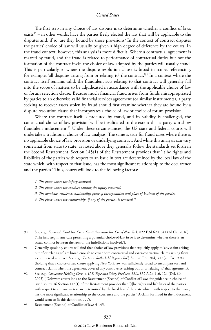The first step in any choice of law dispute is to determine whether a conflict of laws exists $90 -$  in other words, have the parties freely elected the law that will be applicable to the disputes and, if so, are they bound by those provisions? In the context of contract disputes the parties' choice of law will usually be given a high degree of deference by the courts. In the fraud context, however, this analysis is more difficult. Where a contractual agreement is marred by fraud, and the fraud is related to performance of contractual duties but not the formation of the contract itself, the choice of law adopted by the parties will usually stand. This is particularly so where the dispute resolution clause is broad in scope, referencing, for example, 'all disputes arising from or relating to' the contract.'91 In a context where the contract itself remains valid, the fraudulent acts relating to that contract will generally fall into the scope of matters to be adjudicated in accordance with the applicable choice of law or forum selection clause. Because much financial fraud arises from funds misappropriated by parties to an otherwise valid financial services agreement (or similar instruments), a party seeking to recover assets stolen by fraud should first examine whether they are bound by a dispute resolution clause that incorporates a choice of law or choice of forum provision.

Where the contract itself is procured by fraud, and its validity is challenged, the contractual choice of law provision will be invalidated to the extent that a party can show fraudulent inducement.<sup>92</sup> Under these circumstances, the US state and federal courts will undertake a traditional choice of law analysis. The same is true for fraud cases where there is no applicable choice of law provision or underlying contract. And while this analysis can vary somewhat from state to state, as noted above they generally follow the standards set forth in the Second Restatement. Section 145(1) of the Restatement provides that '[t]he rights and liabilities of the parties with respect to an issue in tort are determined by the local law of the state which, with respect to that issue, has the most significant relationship to the occurrence and the parties.' Thus, courts will look to the following factors:

- *1. The place where the injury occurred.*
- *2. The place where the conduct causing the injury occurred.*
- *3. The domicile, residence, nationality, place of incorporation and place of business of the parties.*
- *4. The place where the relationship, if any of the parties, is centered.*<sup>93</sup>

90 See, e.g., *Fireman's Fund Ins. Co. v. Great American Ins. Co. of New York*, 822 F.3d 620, 641 (2d Cir. 2016) ('The first step in any case presenting a potential choice-of-law issue is to determine whether there is an actual conflict between the laws of the jurisdictions involved.').

<sup>91</sup> Generally speaking, courts will find that choice-of-law provisions that explicitly apply to 'any claim arising out of or relating to' are broad enough to cover both contractual and extra-contractual claims arising from a commercial contract. See, e.g., *Turtur v. Rothschild Registry Int'l, Inc.*, 26 F.3d 304, 309 (2d Cir.1994) (holding that a choice of law clause applying New York law was sufficiently broad to encompass tort and contract claims when the agreement covered any controversy 'arising out of or relating to' that agreement).

<sup>92</sup> See, e.g., *Gloucester Holding Corp. v. U.S. Tape and Sticky Products, LLC*, 832 A.2d 116, 124 (Del. Ch. 2003) ('Delaware courts look to the Restatement (Second) of Conflict of Laws for guidance in choice of law disputes.16 Section 145(1) of the Restatement provides that '[t]he rights and liabilities of the parties with respect to an issue in tort are determined by the local law of the state which, with respect to that issue, has the most significant relationship to the occurrence and the parties.' A claim for fraud in the inducement would seem to fit this definition. . . .').

<sup>93</sup> Restatement (Second) of Conflict of laws § 145.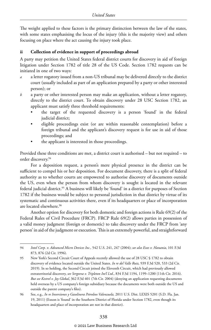The weight applied to these factors is the primary distinction between the law of the states, with some states emphasising the locus of the injury (this is the majority view) and others focusing on place where the act causing the injury took place.

#### **ii Collection of evidence in support of proceedings abroad**

A party may petition the United States federal district courts for discovery in aid of foreign litigation under Section 1782 of title 28 of the US Code. Section 1782 requests can be initiated in one of two ways:

- *a* a letter rogatory issued from a non-US tribunal may be delivered directly to the district court (usually included as part of an application prepared by a party or other interested person); or
- *b* a party or other interested person may make an application, without a letter rogatory, directly to the district court. To obtain discovery under 28 USC Section 1782, an applicant must satisfy three threshold requirements:
	- the target of the requested discovery is a person 'found' in the federal judicial district;
	- eligible proceedings exist (or are within reasonable contemplation) before a foreign tribunal and the applicant's discovery request is for use in aid of those proceedings; and
	- the applicant is interested in those proceedings.

Provided these three conditions are met, a district court is authorised – but not required – to order discovery.94

For a deposition request, a person's mere physical presence in the district can be sufficient to compel his or her deposition. For document discovery, there is a split of federal authority as to whether courts are empowered to authorise discovery of documents outside the US, even when the person from whom discovery is sought is located in the relevant federal judicial district.<sup>95</sup> A business will likely be 'found' in a district for purposes of Section 1782 if the business would be subject to personal jurisdiction in that district by virtue of its systematic and continuous activities there, even if its headquarters or place of incorporation are located elsewhere.<sup>96</sup>

Another option for discovery for both domestic and foreign actions is Rule 69(2) of the Federal Rules of Civil Procedure (FRCP). FRCP Rule 69(2) allows parties in possession of a valid money judgment (foreign or domestic) to take discovery under the FRCP from 'any person' in aid of the judgment or execution. This is an extremely powerful, and straightforward

<sup>94</sup> *Intel Corp. v. Advanced Micro Devices Inc.,* 542 U.S. 241, 247 (2004); *see also Esses v. Hanania*, 101 F.3d 873, 876 (2d Cir. 1996).

<sup>95</sup> New York's Second Circuit Court of Appeals recently allowed the use of 28 USC § 1782 to obtain discovery of evidence located outside the United States. *In re del Valle Ruiz,* 939 F.3d 520, 533 (2d Cir. 2019). In so holding, the Second Circuit joined the Eleventh Circuit, which had previously allowed extraterritorial discovery, *see Sergeeva v. Tripleton Int'l Ltd*., 834 F.3d 1194, 1199–1200 (11th Cir. 2016). *But see Kestrel v. Joy Global*, 362 F.3d 401 (7th Cir. 2004) (denying an application requesting documents held overseas by a US company's foreign subsidiary because the documents were both outside the US and outside the parent company's files).

<sup>96</sup> See, e.g., *In re Inversiones y Gasolinera Petroleos Valenzuela,* 2011 U.S. Dist. LEXIS 5201 (S.D. Fla. Jan. 19, 2011) (Exxon is 'found' in the Southern District of Florida under Section 1782, even though its headquarters and place of incorporation are not in that district).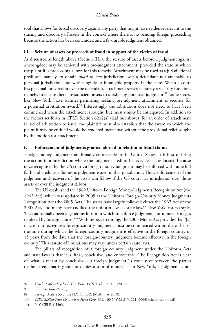tool that allows for broad discovery against any party that might have evidence relevant to the tracing and discovery of assets in the context where there is no pending foreign proceeding because the action has been concluded and a favourable judgment obtained.

#### **iii Seizure of assets or proceeds of fraud in support of the victim of fraud**

As discussed at length above (Section III.i), the seizure of assets before a judgment against a wrongdoer may be achieved with pre-judgment attachment, provided the state in which the plaintiff is proceeding allows for this remedy. Attachment may be used as a jurisdictional predicate, namely, to obtain *quasi in rem* jurisdiction over a defendant not amenable to personal jurisdiction, but with tangible or intangible property in the state. When a court has personal jurisdiction over the defendant, attachment serves as purely a security function, namely, to ensure there are sufficient assets to satisfy any potential judgment.<sup>97</sup> Some states, like New York, have statutes permitting seeking prejudgment attachment as security for a potential arbitration award.<sup>98</sup> Interestingly, the arbitration does not need to have been commenced when the attachment is sought, but must simply be anticipated. In addition to the factors set forth in CPLR Section 6212(a) (laid out above), for an order of attachment in aid of arbitration to issue, the plaintiff must also establish that the award to which the plaintiff may be entitled would be rendered ineffectual without the provisional relief sought by the motion for attachment.

#### **iv Enforcement of judgments granted abroad in relation to fraud claims**

Foreign money judgments are broadly enforceable in the United States. It is best to bring the action in a jurisdiction where the judgment creditor believes assets are located because once recognised by the US court, a foreign money judgment may be enforced with same full faith and credit as a domestic judgment issued in that jurisdiction. Thus, enforcement of the judgment and recovery of the assets can follow if the US court has jurisdiction over those assets or over the judgment debtor.

The US established the 1962 Uniform Foreign Money-Judgments Recognition Act (the 1962 Act), which was updated in 2005 as the Uniform Foreign-Country Money Judgments Recognition Act (the 2005 Act). The states have largely followed either the 1962 Act or the 2005 Act, and many have codified the uniform laws as state law.<sup>99</sup> New York, for example, 'has traditionally been a generous forum in which to enforce judgments for money damages rendered by foreign courts'.100 With respect to timing, the 2005 Model Act provides that '[a] n action to recognise a foreign-country judgment must be commenced within the earlier of the time during which the foreign-country judgment is effective in the foreign country or 15 years from the date that the foreign-country judgment became effective in the foreign country.' This statute of limitations may vary under certain state laws.

The pillars of recognition of a foreign country judgment under the Uniform Acts and state laws is that it is 'final, conclusive, and enforceable'. The Recognition Act is clear on what is meant by conclusive – a foreign judgment 'is conclusive between the parties to the extent that it grants or denies a sum of money'.<sup>101</sup> In New York, a judgment is not

<sup>97</sup> *Hotel 71 Mezz Lender LLC v. Falor,* 14 N.Y.3d 303, 311 (2010).

<sup>98</sup> CPLR section 7502(c).

<sup>99</sup> See e.g., Article 53 of the N.Y. C.P.L.R. (McKinney 2019).

<sup>100</sup> *CIBC Mellon Trust Co. v. Mora Hotel Corp. N.V.* 100 N.Y.2d 215, 221 (2003) (citations omitted)

<sup>101</sup> N.Y. CPLR § 5303.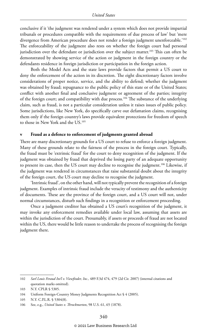conclusive if it 'the judgment was rendered under a system which does not provide impartial tribunals or procedures compatible with the requirements of due process of law' but 'mere divergence from American procedure does not render a foreign judgment unenforceable.'102 The enforceability of the judgment also rests on whether the foreign court had personal jurisdiction over the defendant or jurisdiction over the subject matter.<sup>103</sup> This can often be demonstrated by showing service of the action or judgment in the foreign country or the defendants residence in foreign jurisdiction or participation in the foreign action.

Both the Model Acts and the state laws provide factors that permit a US court to deny the enforcement of the action in its discretion. The eight discretionary factors involve considerations of proper notice, service, and the ability to defend; whether the judgment was obtained by fraud; repugnance to the public policy of this state or of the United States; conflict with another final and conclusive judgment or agreement of the parties; integrity of the foreign court; and compatibility with due process.104 The substance of the underlying claim, such as fraud, is not a particular consideration unless it raises issues of public policy. Some jurisdictions, like New York, do specifically carve out defamation claims, recognising them only if the foreign country's laws provide equivalent protections for freedom of speech to those in New York and the US.105

#### **v Fraud as a defence to enforcement of judgments granted abroad**

There are many discretionary grounds for a US court to refuse to enforce a foreign judgment. Many of these grounds relate to the fairness of the process in the foreign court. Typically, the fraud must be 'extrinsic fraud' for the court to deny recognition of the judgment. If the judgment was obtained by fraud that deprived the losing party of an adequate opportunity to present its case, then the US court may decline to recognise the judgment.<sup>106</sup> Likewise, if the judgment was rendered in circumstances that raise substantial doubt about the integrity of the foreign court, the US court may decline to recognise the judgment.

'Intrinsic fraud', on the other hand, will not typically prevent the recognition of a foreign judgment. Examples of intrinsic fraud include the veracity of testimony and the authenticity of documents. These are the province of the foreign court, and a US court will not, under normal circumstances, disturb such findings in a recognition or enforcement proceeding.

Once a judgment creditor has obtained a US court's recognition of the judgment, it may invoke any enforcement remedies available under local law, assuming that assets are within the jurisdiction of the court. Presumably, if assets or proceeds of fraud are not located within the US, there would be little reason to undertake the process of recognising the foreign judgment there.

<sup>102</sup> *Sarl Louis Feraud Int'l v. Viewfinder, Inc.,* 489 F.3d 474, 479 (2d Cir. 2007) (internal citations and quotation marks omitted).

<sup>103</sup> N.Y. CPLR § 5305.

<sup>104</sup> Uniform Foreign-Country Money Judgments Recognition Act § 4 (2005).

<sup>105</sup> N.Y. C.P.L.R. § 5304(8).

<sup>106</sup> See, e.g., *United States v. Throckmorton*, 98 U.S. 61, 65 (1878).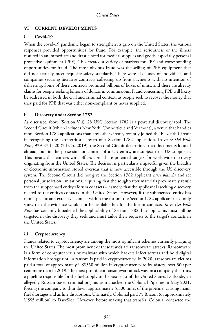#### **VI CURRENT DEVELOPMENTS**

#### **i Covid-19**

When the covid-19 pandemic began to strengthen its grip on the United States, the various responses provided opportunities for fraud. For example, the seriousness of the illness resulted in an immediate and drastic need for medical supplies and goods, especially personal protective equipment (PPE). This created a variety of markets for PPE and corresponding opportunities for fraud. The most obvious fraud was the selling of PPE equipment that did not actually meet requisite safety standards. There were also cases of individuals and companies securing lucrative contracts collecting up-front payments with no intention of delivering. Some of these contracts promised billions of boxes of units, and there are already claims for people seeking billions of dollars in commissions. Fraud concerning PPE will likely be addressed in both the civil and criminal context, as people seek to recover the money that they paid for PPE that was either non-compliant or never supplied.

#### **ii Discovery under Section 1782**

As discussed above (Section V.ii), 28 USC Section 1782 is a powerful discovery tool. The Second Circuit (which includes New York, Connecticut and Vermont), a venue that handles more Section 1782 applications than any other circuit, recently joined the Eleventh Circuit in recognising the extraterritorial reach of a Section 1782 application. In *In re Del Valle Ruiz*, 939 F.3d 520 (2d Cir. 2019), the Second Circuit determined that documents located abroad, but in the possession or control of a US entity, are subject to a US subpoena. This means that entities with offices abroad are potential targets for worldwide discovery originating from the United States. The decision is particularly impactful given the breadth of electronic information stored overseas that is now accessible through the US discovery system. The Second Circuit did not give the Section 1782 applicant *carte blanche* and set personal jurisdiction limitations, requiring that the sought-after materials proximately result from the subpoenaed entity's forum contacts – namely, that the applicant is seeking discovery related to the entity's contacts in the United States. However, if the subpoenaed entity has more specific and extensive contact within the forum, the Section 1782 applicant need only show that the evidence would not be available but for the forum contacts. *In re Del Valle Ruiz* has certainly broadened the applicability of Section 1782, but applicants must still be targeted in the discovery they seek and must tailor their requests to the target's contacts in the United States.

#### **iii Cryptocurrency**

Frauds related to cryptocurrency are among the most significant schemes currently plaguing the United States. The most prominent of these frauds are ransomware attacks. Ransomware is a form of computer virus or malware with which hackers infect servers and hold digital information hostage until a ransom is paid in cryptocurrency. In 2020, ransomware victims paid a total of approximately US\$350 million in cryptocurrency to fraudsters, over 300 per cent more than in 2019. The most prominent ransomware attack was on a company that runs a pipeline responsible for the fuel supply to the east coast of the United States. DarkSide, an allegedly Russian-based criminal organisation attacked the Colonial Pipeline in May 2021, forcing the company to shut down approximately 5,500 miles of the pipeline, causing major fuel shortages and airline disruptions. Ultimately, Colonial paid 75 Bitcoin (or approximately US\$5 million) to DarkSide. However, before making that transfer, Colonial contacted the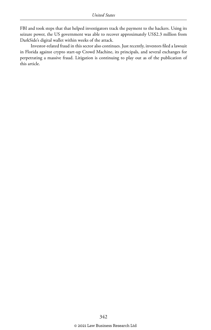FBI and took steps that that helped investigators track the payment to the hackers. Using its seizure power, the US government was able to recover approximately US\$2.3 million from DarkSide's digital wallet within weeks of the attack.

Investor-related fraud in this sector also continues. Just recently, investors filed a lawsuit in Florida against crypto start-up Crowd Machine, its principals, and several exchanges for perpetrating a massive fraud. Litigation is continuing to play out as of the publication of this article.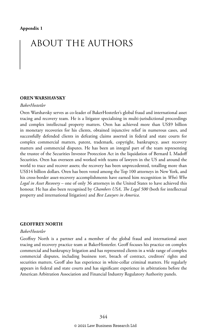# ABOUT THE AUTHORS

#### **OREN WARSHAVSKY**

#### *BakerHostetler*

Oren Warshavsky serves as co-leader of BakerHostetler's global fraud and international asset tracing and recovery team. He is a litigator specialising in multi-jurisdictional proceedings and complex intellectual property matters. Oren has achieved more than US\$9 billion in monetary recoveries for his clients, obtained injunctive relief in numerous cases, and successfully defended clients in defeating claims asserted in federal and state courts for complex commercial matters, patent, trademark, copyright, bankruptcy, asset recovery matters and commercial disputes. He has been an integral part of the team representing the trustee of the Securities Investor Protection Act in the liquidation of Bernard L Madoff Securities. Oren has overseen and worked with teams of lawyers in the US and around the world to trace and recover assets; the recovery has been unprecedented, totalling more than US\$14 billion dollars. Oren has been voted among the Top 100 attorneys in New York, and his cross-border asset-recovery accomplishments have earned him recognition in *Who's Who Legal in Asset Recovery* – one of only 36 attorneys in the United States to have achieved this honour. He has also been recognised by *Chambers USA*, *The Legal 500* (both for intellectual property and international litigation) and *Best Lawyers in America*.

#### **GEOFFREY NORTH**

#### *BakerHostetler*

Geoffrey North is a partner and a member of the global fraud and international asset tracing and recovery practice team at BakerHostetler. Geoff focuses his practice on complex commercial and bankruptcy litigation and has represented clients in a wide range of complex commercial disputes, including business tort, breach of contract, creditors' rights and securities matters. Geoff also has experience in white-collar criminal matters. He regularly appears in federal and state courts and has significant experience in arbitrations before the American Arbitration Association and Financial Industry Regulatory Authority panels.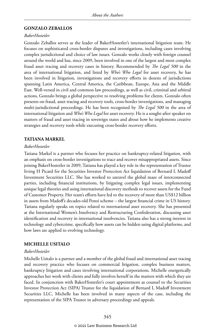#### **GONZALO ZEBALLOS**

#### *BakerHostetler*

Gonzalo Zeballos serves as the leader of BakerHostetler's international litigation team. He focuses on sophisticated cross-border disputes and investigations, including cases involving complex jurisdictional and choice of law issues. Gonzalo works closely with foreign counsel around the world and has, since 2009, been involved in one of the largest and most complex fraud asset tracing and recovery cases in history. Recommended by *The Legal 500* in the area of international litigation, and listed by *Who's Who Legal* for asset recovery, he has been involved in litigation, investigations and recovery efforts in dozens of jurisdictions spanning Latin America, Central America, the Caribbean, Europe, Asia and the Middle East. Well-versed in civil and common law proceedings, as well as civil, criminal and arbitral actions, Gonzalo brings a global perspective to resolving problems for clients. Gonzalo often presents on fraud, asset tracing and recovery tools, cross-border investigations, and managing multi-jurisdictional proceedings. He has been recognised by *The Legal 500* in the area of international litigation and *Who's Who Legal* for asset recovery. He is a sought-after speaker on matters of fraud and asset tracing in sovereign states and about how he implements creative strategies and recovery tools while executing cross-border recovery efforts.

#### **TATIANA MARKEL**

#### *BakerHostetler*

Tatiana Markel is a partner who focuses her practice on bankruptcy-related litigation, with an emphasis on cross-border investigations to trace and recover misappropriated assets. Since joining BakerHostetler in 2009, Tatiana has played a key role in the representation of Trustee Irving H Picard for the Securities Investor Protection Act liquidation of Bernard L Madoff Investment Securities LLC. She has worked to unravel the global maze of interconnected parties, including financial institutions, by litigating complex legal issues, implementing unique legal theories and using international discovery methods to recover assets for the Fund of Customer Property. Her team's efforts have led to the recovery of more than US\$12 billion in assets from Madoff's decades-old Ponzi scheme – the largest financial crime in US history. Tatiana regularly speaks on topics related to international asset recovery. She has presented at the International Women's Insolvency and Restructuring Confederation, discussing asset identification and recovery in international insolvencies. Tatiana also has a strong interest in technology and cybercrime, specifically how assets can be hidden using digital platforms, and how laws are applied to evolving technology.

#### **MICHELLE USITALO**

#### *BakerHostetler*

Michelle Usitalo is a partner and a member of the global fraud and international asset tracing and recovery practice who focuses on commercial litigation, complex business matters, bankruptcy litigation and cases involving international corporations. Michelle energetically approaches her work with clients and fully involves herself in the matters with which they are faced. In conjunction with BakerHostetler's court appointment as counsel to the Securities Investor Protection Act (SIPA) Trustee for the liquidation of Bernard L Madoff Investment Securities LLC, Michelle has been involved in many aspects of the case, including the representation of the SIPA Trustee in adversary proceedings and appeals.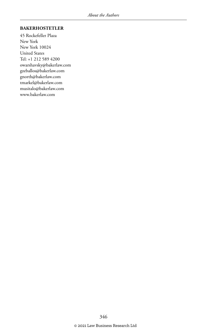#### **BAKERHOSTETLER**

45 Rockefeller Plaza New York New York 10024 United States Tel: +1 212 589 4200 owarshavsky@bakerlaw.com gzeballos@bakerlaw.com gnorth@bakerlaw.com tmarkel@bakerlaw.com musitalo@bakerlaw.com www.bakerlaw.com